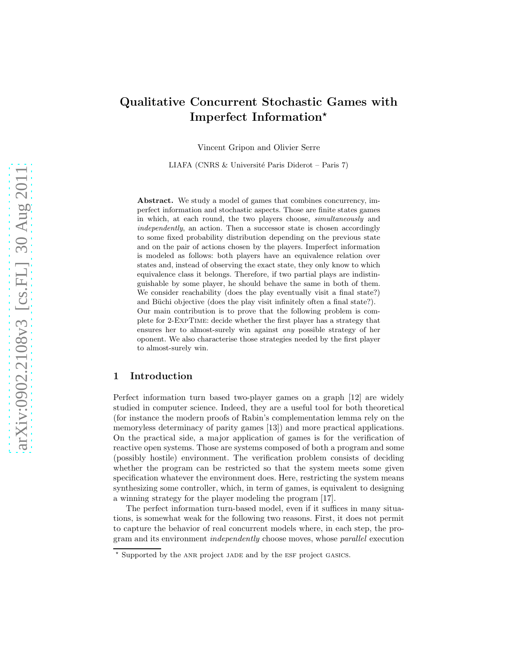# Qualitative Concurrent Stochastic Games with Imperfect Information\*

Vincent Gripon and Olivier Serre

LIAFA (CNRS & Université Paris Diderot – Paris 7)

Abstract. We study a model of games that combines concurrency, imperfect information and stochastic aspects. Those are finite states games in which, at each round, the two players choose, *simultaneously* and *independently*, an action. Then a successor state is chosen accordingly to some fixed probability distribution depending on the previous state and on the pair of actions chosen by the players. Imperfect information is modeled as follows: both players have an equivalence relation over states and, instead of observing the exact state, they only know to which equivalence class it belongs. Therefore, if two partial plays are indistinguishable by some player, he should behave the same in both of them. We consider reachability (does the play eventually visit a final state?) and Büchi objective (does the play visit infinitely often a final state?). Our main contribution is to prove that the following problem is complete for 2-ExpTime: decide whether the first player has a strategy that ensures her to almost-surely win against *any* possible strategy of her oponent. We also characterise those strategies needed by the first player to almost-surely win.

### 1 Introduction

Perfect information turn based two-player games on a graph [12] are widely studied in computer science. Indeed, they are a useful tool for both theoretical (for instance the modern proofs of Rabin's complementation lemma rely on the memoryless determinacy of parity games [13]) and more practical applications. On the practical side, a major application of games is for the verification of reactive open systems. Those are systems composed of both a program and some (possibly hostile) environment. The verification problem consists of deciding whether the program can be restricted so that the system meets some given specification whatever the environment does. Here, restricting the system means synthesizing some controller, which, in term of games, is equivalent to designing a winning strategy for the player modeling the program [17].

The perfect information turn-based model, even if it suffices in many situations, is somewhat weak for the following two reasons. First, it does not permit to capture the behavior of real concurrent models where, in each step, the program and its environment independently choose moves, whose parallel execution

<sup>⋆</sup> Supported by the anr project jade and by the esf project gasics.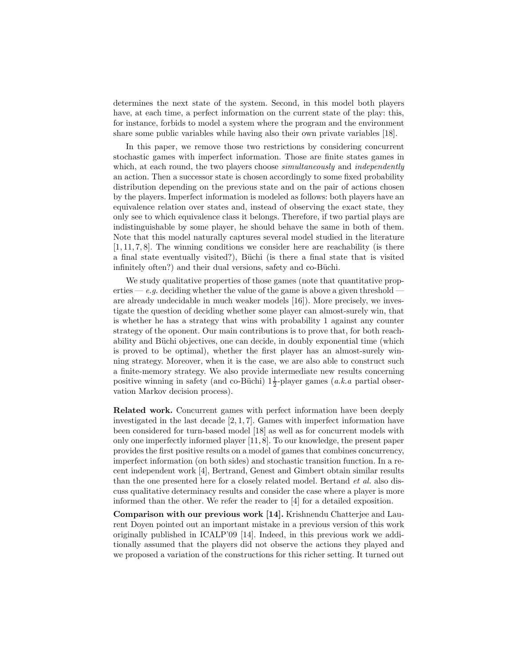determines the next state of the system. Second, in this model both players have, at each time, a perfect information on the current state of the play: this, for instance, forbids to model a system where the program and the environment share some public variables while having also their own private variables [18].

In this paper, we remove those two restrictions by considering concurrent stochastic games with imperfect information. Those are finite states games in which, at each round, the two players choose simultaneously and independently an action. Then a successor state is chosen accordingly to some fixed probability distribution depending on the previous state and on the pair of actions chosen by the players. Imperfect information is modeled as follows: both players have an equivalence relation over states and, instead of observing the exact state, they only see to which equivalence class it belongs. Therefore, if two partial plays are indistinguishable by some player, he should behave the same in both of them. Note that this model naturally captures several model studied in the literature [1, 11, 7, 8]. The winning conditions we consider here are reachability (is there a final state eventually visited?), Büchi (is there a final state that is visited infinitely often?) and their dual versions, safety and co-Büchi.

We study qualitative properties of those games (note that quantitative properties — e.g. deciding whether the value of the game is above a given threshold are already undecidable in much weaker models [16]). More precisely, we investigate the question of deciding whether some player can almost-surely win, that is whether he has a strategy that wins with probability 1 against any counter strategy of the oponent. Our main contributions is to prove that, for both reachability and Büchi objectives, one can decide, in doubly exponential time (which is proved to be optimal), whether the first player has an almost-surely winning strategy. Moreover, when it is the case, we are also able to construct such a finite-memory strategy. We also provide intermediate new results concerning positive winning in safety (and co-Büchi)  $1\frac{1}{2}$ -player games (*a.k.a* partial observation Markov decision process).

Related work. Concurrent games with perfect information have been deeply investigated in the last decade [2, 1, 7]. Games with imperfect information have been considered for turn-based model [18] as well as for concurrent models with only one imperfectly informed player [11, 8]. To our knowledge, the present paper provides the first positive results on a model of games that combines concurrency, imperfect information (on both sides) and stochastic transition function. In a recent independent work [4], Bertrand, Genest and Gimbert obtain similar results than the one presented here for a closely related model. Bertand et al. also discuss qualitative determinacy results and consider the case where a player is more informed than the other. We refer the reader to [4] for a detailed exposition.

Comparison with our previous work [14]. Krishnendu Chatterjee and Laurent Doyen pointed out an important mistake in a previous version of this work originally published in ICALP'09 [14]. Indeed, in this previous work we additionally assumed that the players did not observe the actions they played and we proposed a variation of the constructions for this richer setting. It turned out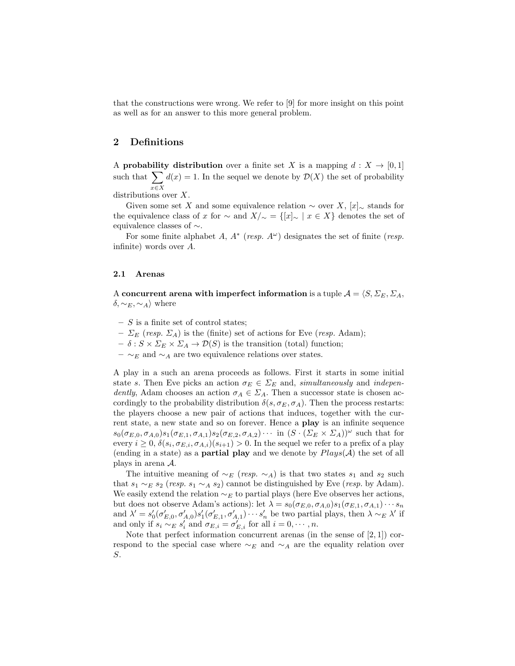that the constructions were wrong. We refer to [9] for more insight on this point as well as for an answer to this more general problem.

#### 2 Definitions

A **probability distribution** over a finite set X is a mapping  $d: X \to [0,1]$ such that  $\sum$ x∈X  $d(x) = 1$ . In the sequel we denote by  $\mathcal{D}(X)$  the set of probability

distributions over X.

Given some set X and some equivalence relation  $\sim$  over X,  $[x]_{\sim}$  stands for the equivalence class of x for  $\sim$  and  $X/\sim$  = {[x]∼ | x ∈ X} denotes the set of equivalence classes of ∼.

For some finite alphabet A,  $A^*$  (resp.  $A^{\omega}$ ) designates the set of finite (resp. infinite) words over A.

#### 2.1 Arenas

A concurrent arena with imperfect information is a tuple  $\mathcal{A} = \langle S, \Sigma_E, \Sigma_A, \Sigma_B \rangle$  $\delta, \sim_E, \sim_A \rangle$  where

- $S$  is a finite set of control states;
- $\Sigma_E$  (resp.  $\Sigma_A$ ) is the (finite) set of actions for Eve (resp. Adam);
- $\delta : S \times \Sigma_E \times \Sigma_A \rightarrow \mathcal{D}(S)$  is the transition (total) function;
- $\sim_E$  and  $\sim_A$  are two equivalence relations over states.

A play in a such an arena proceeds as follows. First it starts in some initial state s. Then Eve picks an action  $\sigma_E \in \Sigma_E$  and, simultaneously and independently, Adam chooses an action  $\sigma_A \in \Sigma_A$ . Then a successor state is chosen accordingly to the probability distribution  $\delta(s, \sigma_E, \sigma_A)$ . Then the process restarts: the players choose a new pair of actions that induces, together with the current state, a new state and so on forever. Hence a play is an infinite sequence  $s_0(\sigma_{E,0}, \sigma_{A,0})s_1(\sigma_{E,1}, \sigma_{A,1})s_2(\sigma_{E,2}, \sigma_{A,2})\cdots$  in  $(S \cdot (\Sigma_E \times \Sigma_A))^{\omega}$  such that for every  $i \geq 0$ ,  $\delta(s_i, \sigma_{E,i}, \sigma_{A,i})(s_{i+1}) > 0$ . In the sequel we refer to a prefix of a play (ending in a state) as a **partial play** and we denote by  $Plays(\mathcal{A})$  the set of all plays in arena A.

The intuitive meaning of  $\sim_E$  (resp.  $\sim_A$ ) is that two states s<sub>1</sub> and s<sub>2</sub> such that  $s_1 \sim_E s_2$  (resp.  $s_1 \sim_A s_2$ ) cannot be distinguished by Eve (resp. by Adam). We easily extend the relation  $\sim_E$  to partial plays (here Eve observes her actions, but does not observe Adam's actions): let  $\lambda = s_0(\sigma_{E,0}, \sigma_{A,0})s_1(\sigma_{E,1}, \sigma_{A,1})\cdots s_n$ and  $\lambda' = s'_0(\sigma'_{E,0}, \sigma'_{A,0})s'_1(\sigma'_{E,1}, \sigma'_{A,1}) \cdots s'_n$  be two partial plays, then  $\lambda \sim_E \lambda'$  if and only if  $s_i \sim_E s'_i$  and  $\sigma_{E,i} = \sigma'_{E,i}$  for all  $i = 0, \cdots, n$ .

Note that perfect information concurrent arenas (in the sense of  $[2, 1]$ ) correspond to the special case where  $\sim_E$  and  $\sim_A$  are the equality relation over S.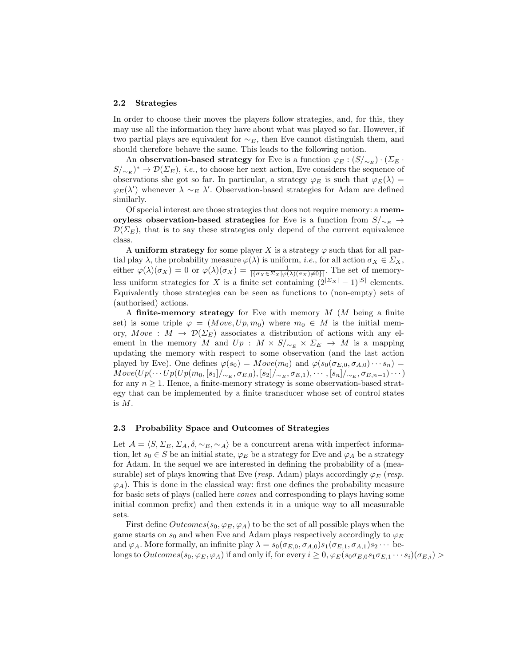#### 2.2 Strategies

In order to choose their moves the players follow strategies, and, for this, they may use all the information they have about what was played so far. However, if two partial plays are equivalent for  $\sim_E$ , then Eve cannot distinguish them, and should therefore behave the same. This leads to the following notion.

An observation-based strategy for Eve is a function  $\varphi_E : (S/\mathbb{Z}_E) \cdot (\Sigma_E \cdot \mathbb{Z}_E)$  $S/\sim_E$ <sup>\*</sup> →  $\mathcal{D}(\Sigma_E)$ , *i.e.*, to choose her next action, Eve considers the sequence of observations she got so far. In particular, a strategy  $\varphi_E$  is such that  $\varphi_E(\lambda) =$  $\varphi_E(\lambda')$  whenever  $\lambda \sim_E \lambda'$ . Observation-based strategies for Adam are defined similarly.

Of special interest are those strategies that does not require memory: a memoryless observation-based strategies for Eve is a function from  $S/\sim_{E} \rightarrow$  $\mathcal{D}(\Sigma_E)$ , that is to say these strategies only depend of the current equivalence class.

A uniform strategy for some player X is a strategy  $\varphi$  such that for all partial play  $\lambda$ , the probability measure  $\varphi(\lambda)$  is uniform, *i.e.*, for all action  $\sigma_X \in \Sigma_X$ , either  $\varphi(\lambda)(\sigma_X) = 0$  or  $\varphi(\lambda)(\sigma_X) = \frac{1}{|\{\sigma_X \in \Sigma_X | \varphi(\lambda)(\sigma_X) \neq 0\}|}$ . The set of memoryless uniform strategies for X is a finite set containing  $(2^{\vert \Sigma_X \vert} - 1)^{\vert S \vert}$  elements. Equivalently those strategies can be seen as functions to (non-empty) sets of (authorised) actions.

A finite-memory strategy for Eve with memory  $M$  ( $M$  being a finite set) is some triple  $\varphi = (Move, Up, m_0)$  where  $m_0 \in M$  is the initial memory, Move:  $M \to \mathcal{D}(\Sigma_E)$  associates a distribution of actions with any element in the memory M and  $Up : M \times S/_{\sim_E} \times \Sigma_E \rightarrow M$  is a mapping updating the memory with respect to some observation (and the last action played by Eve). One defines  $\varphi(s_0) = Move(m_0)$  and  $\varphi(s_0(\sigma_{E,0}, \sigma_{A,0}) \cdots s_n) =$  $Move(Up(\cdots Up(Up(m_0, [s_1]/_{\sim_E}, \sigma_{E,0}), [s_2]/_{\sim_E}, \sigma_{E,1}), \cdots, [s_n]/_{\sim_E}, \sigma_{E,n-1})\cdots)$ for any  $n \geq 1$ . Hence, a finite-memory strategy is some observation-based strategy that can be implemented by a finite transducer whose set of control states is M.

#### 2.3 Probability Space and Outcomes of Strategies

Let  $\mathcal{A} = \langle S, \Sigma_E, \Sigma_A, \delta, \sim_E, \sim_A \rangle$  be a concurrent arena with imperfect information, let  $s_0 \in S$  be an initial state,  $\varphi_E$  be a strategy for Eve and  $\varphi_A$  be a strategy for Adam. In the sequel we are interested in defining the probability of a (measurable) set of plays knowing that Eve (resp. Adam) plays accordingly  $\varphi_E$  (resp.  $\varphi_A$ ). This is done in the classical way: first one defines the probability measure for basic sets of plays (called here cones and corresponding to plays having some initial common prefix) and then extends it in a unique way to all measurable sets.

First define  $Outcomes(s_0, \varphi_E, \varphi_A)$  to be the set of all possible plays when the game starts on  $s_0$  and when Eve and Adam plays respectively accordingly to  $\varphi_E$ and  $\varphi_A$ . More formally, an infinite play  $\lambda = s_0(\sigma_{E,0}, \sigma_{A,0})s_1(\sigma_{E,1}, \sigma_{A,1})s_2 \cdots$  belongs to  $Outcomes(s_0, \varphi_E, \varphi_A)$  if and only if, for every  $i \geq 0$ ,  $\varphi_E(s_0 \sigma_{E,0} s_1 \sigma_{E,1} \cdots s_i)(\sigma_{E,i}) >$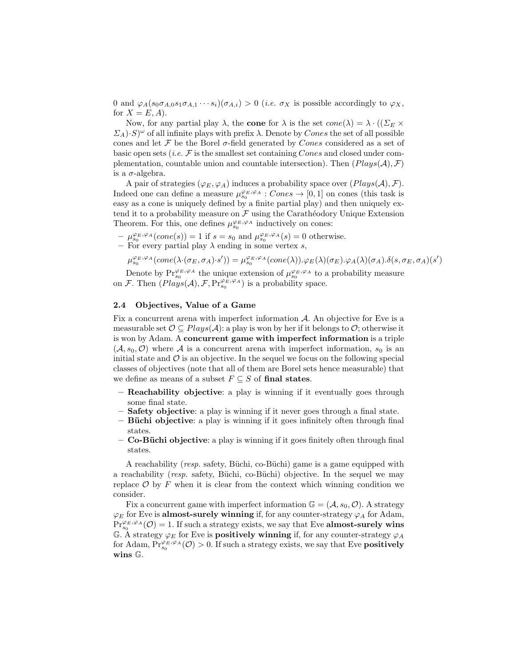0 and  $\varphi_A(s_0 \sigma_{A,0} s_1 \sigma_{A,1} \cdots s_i)(\sigma_{A,i}) > 0$  (*i.e.*  $\sigma_X$  is possible accordingly to  $\varphi_X$ , for  $X = E, A$ .

Now, for any partial play  $\lambda$ , the cone for  $\lambda$  is the set  $cone(\lambda) = \lambda \cdot ((\Sigma_E \times$  $(\Sigma_A) \cdot S)^\omega$  of all infinite plays with prefix  $\lambda$ . Denote by *Cones* the set of all possible cones and let  $\mathcal F$  be the Borel  $\sigma$ -field generated by *Cones* considered as a set of basic open sets (*i.e.*  $\mathcal F$  is the smallest set containing Cones and closed under complementation, countable union and countable intersection). Then  $(Plays(\mathcal{A}), \mathcal{F})$ is a  $\sigma$ -algebra.

A pair of strategies ( $\varphi_E, \varphi_A$ ) induces a probability space over  $(Plays(\mathcal{A}), \mathcal{F})$ . Indeed one can define a measure  $\mu_{s_0}^{\varphi_E,\varphi_A}: \textit{Cones} \to [0,1]$  on cones (this task is easy as a cone is uniquely defined by a finite partial play) and then uniquely extend it to a probability measure on  $\mathcal F$  using the Carathéodory Unique Extension Theorem. For this, one defines  $\mu_{s_0}^{\varphi_E, \varphi_A}$  inductively on cones:

- $-\mu_{s_0}^{\varphi_E,\varphi_A}(cone(s)) = 1$  if  $s = s_0$  and  $\mu_{s_0}^{\varphi_E,\varphi_A}(s) = 0$  otherwise. – For every partial play  $\lambda$  ending in some vertex s,
- $\mu_{s_0}^{\varphi_E, \varphi_A}(cone(\lambda \cdot (\sigma_E, \sigma_A) \cdot s')) = \mu_{s_0}^{\varphi_E, \varphi_A}(cone(\lambda)).\varphi_E(\lambda)(\sigma_E).\varphi_A(\lambda)(\sigma_A).\delta(s, \sigma_E, \sigma_A)(s')$

Denote by  $Pr_{s_0}^{\varphi_{E},\varphi_A}$  the unique extension of  $\mu_{s_0}^{\varphi_{E},\varphi_A}$  to a probability measure on F. Then  $(Plays(\mathcal{A}), \mathcal{F}, Pr_{s_0}^{\varphi_E, \varphi_A})$  is a probability space.

#### 2.4 Objectives, Value of a Game

Fix a concurrent arena with imperfect information  $A$ . An objective for Eve is a measurable set  $\mathcal{O} \subseteq \text{Plays}(\mathcal{A})$ : a play is won by her if it belongs to  $\mathcal{O}$ ; otherwise it is won by Adam. A concurrent game with imperfect information is a triple  $(\mathcal{A}, s_0, \mathcal{O})$  where  $\mathcal{A}$  is a concurrent arena with imperfect information,  $s_0$  is an initial state and  $\mathcal O$  is an objective. In the sequel we focus on the following special classes of objectives (note that all of them are Borel sets hence measurable) that we define as means of a subset  $F \subseteq S$  of final states.

- Reachability objective: a play is winning if it eventually goes through some final state.
- Safety objective: a play is winning if it never goes through a final state.
- Büchi objective: a play is winning if it goes infinitely often through final states.
- $-$  Co-Büchi objective: a play is winning if it goes finitely often through final states.

A reachability (resp. safety, B¨uchi, co-B¨uchi) game is a game equipped with a reachability (*resp.* safety, Büchi, co-Büchi) objective. In the sequel we may replace  $\mathcal O$  by F when it is clear from the context which winning condition we consider.

Fix a concurrent game with imperfect information  $\mathbb{G} = (\mathcal{A}, s_0, \mathcal{O})$ . A strategy  $\varphi_E$  for Eve is almost-surely winning if, for any counter-strategy  $\varphi_A$  for Adam,  $\Pr_{s_0}^{\varphi_E,\varphi_A}(\mathcal{O})=1.$  If such a strategy exists, we say that Eve **almost-surely wins** G. A strategy  $\varphi_E$  for Eve is **positively winning** if, for any counter-strategy  $\varphi_A$ for Adam,  $Pr_{s_0}^{\varphi_{E},\varphi_A}(\mathcal{O}) > 0$ . If such a strategy exists, we say that Eve **positively** wins G.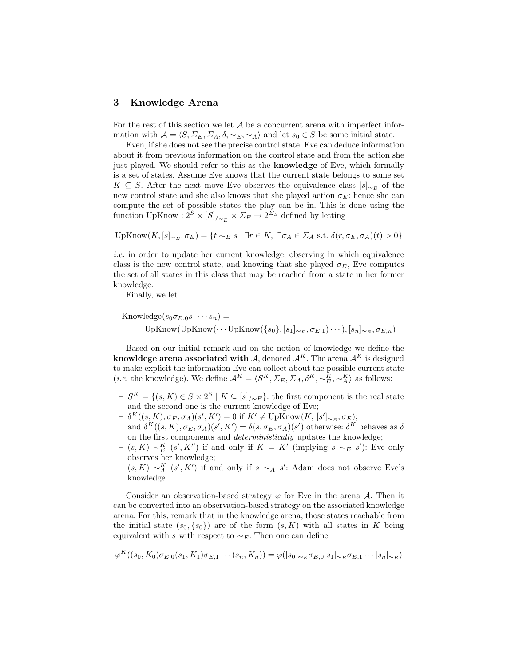#### 3 Knowledge Arena

For the rest of this section we let  $A$  be a concurrent arena with imperfect information with  $\mathcal{A} = \langle S, \Sigma_E, \Sigma_A, \delta, \sim_E, \sim_A \rangle$  and let  $s_0 \in S$  be some initial state.

Even, if she does not see the precise control state, Eve can deduce information about it from previous information on the control state and from the action she just played. We should refer to this as the **knowledge** of Eve, which formally is a set of states. Assume Eve knows that the current state belongs to some set  $K \subseteq S$ . After the next move Eve observes the equivalence class  $[s]_{\sim_E}$  of the new control state and she also knows that she played action  $\sigma_E$ : hence she can compute the set of possible states the play can be in. This is done using the function UpKnow :  $2^S \times [S]_{\overline{\wedge}_E} \times \Sigma_E \rightarrow 2^{\Sigma_S}$  defined by letting

$$
\text{UpKnow}(K, [s]_{\sim_E}, \sigma_E) = \{ t \sim_E s \mid \exists r \in K, \exists \sigma_A \in \Sigma_A \text{ s.t. } \delta(r, \sigma_E, \sigma_A)(t) > 0 \}
$$

i.e. in order to update her current knowledge, observing in which equivalence class is the new control state, and knowing that she played  $\sigma_E$ , Eve computes the set of all states in this class that may be reached from a state in her former knowledge.

Finally, we let

Knowledge $(s_0 \sigma_{E,0} s_1 \cdots s_n)$  = UpKnow(UpKnow(· · · UpKnow({s<sub>0</sub>}, [s<sub>1</sub>]<sub>∼E</sub>,  $\sigma_{E,1}$ ) · · · ), [s<sub>n</sub>]<sub>∼E</sub>,  $\sigma_{E,n}$ )

Based on our initial remark and on the notion of knowledge we define the knowldege arena associated with A, denoted  $A^K$ . The arena  $A^K$  is designed to make explicit the information Eve can collect about the possible current state (*i.e.* the knowledge). We define  $\mathcal{A}^K = \langle S^K, \Sigma_E, \Sigma_A, \delta^K, \sim_E^K, \sim_A^K \rangle$  as follows:

- $-S^K = \{(s, K) \in S \times 2^S \mid K \subseteq [s]_{\text{max}}\}$ : the first component is the real state and the second one is the current knowledge of Eve;
- $\delta^K((s, K), \sigma_E, \sigma_A)(s', K') = 0$  if  $K' \neq \text{UpKnow}(K, [s']_{\sim_E}, \sigma_E);$ and  $\delta^K((s, K), \sigma_E, \sigma_A)(s', K') = \delta(s, \sigma_E, \sigma_A)(s')$  otherwise:  $\delta^K$  behaves as  $\delta$ on the first components and deterministically updates the knowledge;
- $-$  (s, K)  $\sim_E^K$  (s', K'') if and only if K = K' (implying s  $\sim_E$  s'): Eve only observes her knowledge;
- $-$  (s, K) ∼<sup>K</sup><sub>A</sub> (s', K') if and only if s ∼<sub>A</sub> s': Adam does not observe Eve's knowledge.

Consider an observation-based strategy  $\varphi$  for Eve in the arena A. Then it can be converted into an observation-based strategy on the associated knowledge arena. For this, remark that in the knowledge arena, those states reachable from the initial state  $(s_0, \{s_0\})$  are of the form  $(s, K)$  with all states in K being equivalent with s with respect to  $\sim_E$ . Then one can define

$$
\varphi^{K}((s_{0}, K_{0})\sigma_{E,0}(s_{1}, K_{1})\sigma_{E,1}\cdots(s_{n}, K_{n})) = \varphi([s_{0}]_{\sim E}\sigma_{E,0}[s_{1}]_{\sim E}\sigma_{E,1}\cdots[s_{n}]_{\sim E})
$$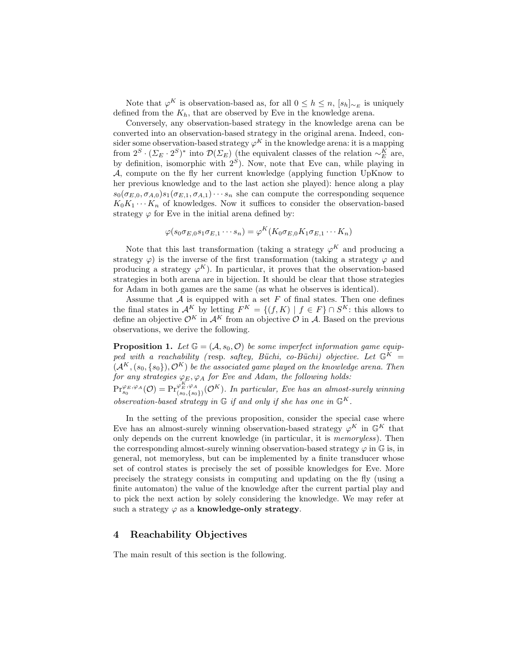Note that  $\varphi^K$  is observation-based as, for all  $0 \leq h \leq n$ ,  $[s_h]_{\sim_E}$  is uniquely defined from the  $K_h$ , that are observed by Eve in the knowledge arena.

Conversely, any observation-based strategy in the knowledge arena can be converted into an observation-based strategy in the original arena. Indeed, consider some observation-based strategy  $\varphi^K$  in the knowledge arena: it is a mapping from  $2^S \cdot (\Sigma_E \cdot 2^S)^*$  into  $\mathcal{D}(\Sigma_E)$  (the equivalent classes of the relation  $\sim_E^K$  are, by definition, isomorphic with  $2<sup>S</sup>$ ). Now, note that Eve can, while playing in A, compute on the fly her current knowledge (applying function UpKnow to her previous knowledge and to the last action she played): hence along a play  $s_0(\sigma_{E,0}, \sigma_{A,0})s_1(\sigma_{E,1}, \sigma_{A,1})\cdots s_n$  she can compute the corresponding sequence  $K_0K_1\cdots K_n$  of knowledges. Now it suffices to consider the observation-based strategy  $\varphi$  for Eve in the initial arena defined by:

$$
\varphi(s_0 \sigma_{E,0} s_1 \sigma_{E,1} \cdots s_n) = \varphi^K(K_0 \sigma_{E,0} K_1 \sigma_{E,1} \cdots K_n)
$$

Note that this last transformation (taking a strategy  $\varphi^K$  and producing a strategy  $\varphi$ ) is the inverse of the first transformation (taking a strategy  $\varphi$  and producing a strategy  $\varphi^K$ ). In particular, it proves that the observation-based strategies in both arena are in bijection. It should be clear that those strategies for Adam in both games are the same (as what he observes is identical).

Assume that  $A$  is equipped with a set  $F$  of final states. Then one defines the final states in  $\mathcal{A}^K$  by letting  $F^K = \{(f,K) | f \in F\} \cap S^K$ : this allows to define an objective  $\mathcal{O}^K$  in  $\mathcal{A}^K$  from an objective  $\mathcal O$  in  $\mathcal A$ . Based on the previous observations, we derive the following.

**Proposition 1.** Let  $\mathbb{G} = (\mathcal{A}, s_0, \mathcal{O})$  be some imperfect information game equipped with a reachability (resp. saftey, Büchi, co-Büchi) objective. Let  $\mathbb{G}^K$  =  $(\mathcal{A}^K,(s_0, s_0),\mathcal{O}^K)$  be the associated game played on the knowledge arena. Then for any strategies  $\varphi_E, \varphi_A$  for Eve and Adam, the following holds:  $\Pr_{s_0}^{\varphi_E, \varphi_A}(\mathcal{O}) = \Pr_{(s_0, \{s_0\})}^{\varphi_E^K, \varphi_A}(\mathcal{O}^K)$ . In particular, Eve has an almost-surely winning observation-based strategy in  $\mathbb G$  if and only if she has one in  $\mathbb G^K$ .

In the setting of the previous proposition, consider the special case where Eve has an almost-surely winning observation-based strategy  $\varphi^K$  in  $\mathbb{G}^K$  that only depends on the current knowledge (in particular, it is memoryless). Then the corresponding almost-surely winning observation-based strategy  $\varphi$  in  $\mathbb{G}$  is, in general, not memoryless, but can be implemented by a finite transducer whose set of control states is precisely the set of possible knowledges for Eve. More precisely the strategy consists in computing and updating on the fly (using a finite automaton) the value of the knowledge after the current partial play and to pick the next action by solely considering the knowledge. We may refer at such a strategy  $\varphi$  as a knowledge-only strategy.

### 4 Reachability Objectives

The main result of this section is the following.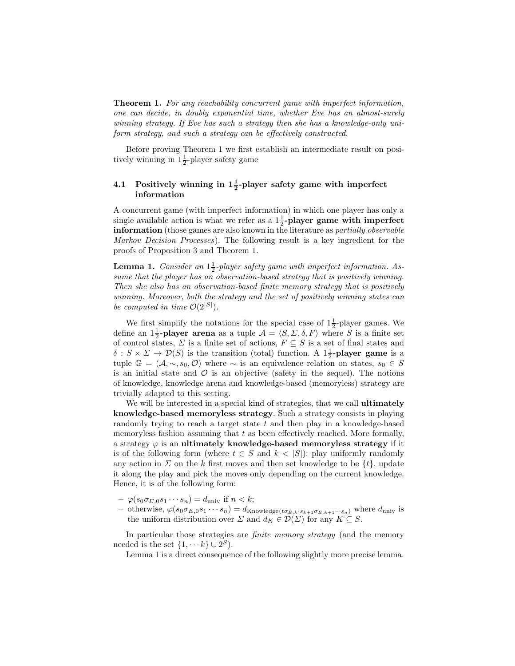**Theorem 1.** For any reachability concurrent game with imperfect information, one can decide, in doubly exponential time, whether Eve has an almost-surely winning strategy. If Eve has such a strategy then she has a knowledge-only uniform strategy, and such a strategy can be effectively constructed.

Before proving Theorem 1 we first establish an intermediate result on positively winning in  $1\frac{1}{2}$ -player safety game

# 4.1 Positively winning in  $1\frac{1}{2}$ -player safety game with imperfect information

A concurrent game (with imperfect information) in which one player has only a single available action is what we refer as a  $1\frac{1}{2}$ -player game with imperfect information (those games are also known in the literature as *partially observable* Markov Decision Processes). The following result is a key ingredient for the proofs of Proposition 3 and Theorem 1.

**Lemma 1.** Consider an  $1\frac{1}{2}$ -player safety game with imperfect information. Assume that the player has an observation-based strategy that is positively winning. Then she also has an observation-based finite memory strategy that is positively winning. Moreover, both the strategy and the set of positively winning states can be computed in time  $\mathcal{O}(2^{|S|})$ .

We first simplify the notations for the special case of  $1\frac{1}{2}$ -player games. We define an  $1\frac{1}{2}$ -player arena as a tuple  $\mathcal{A} = \langle S, \Sigma, \delta, F \rangle$  where S is a finite set of control states,  $\Sigma$  is a finite set of actions,  $F \subseteq S$  is a set of final states and  $\delta: S \times \Sigma \to \mathcal{D}(S)$  is the transition (total) function. A  $1\frac{1}{2}$ -player game is a tuple  $\mathbb{G} = (\mathcal{A}, \sim, s_0, \mathcal{O})$  where  $\sim$  is an equivalence relation on states,  $s_0 \in S$ is an initial state and  $\mathcal O$  is an objective (safety in the sequel). The notions of knowledge, knowledge arena and knowledge-based (memoryless) strategy are trivially adapted to this setting.

We will be interested in a special kind of strategies, that we call **ultimately** knowledge-based memoryless strategy. Such a strategy consists in playing randomly trying to reach a target state t and then play in a knowledge-based memoryless fashion assuming that  $t$  as been effectively reached. More formally, a strategy  $\varphi$  is an ultimately knowledge-based memoryless strategy if it is of the following form (where  $t \in S$  and  $k < |S|$ ): play uniformly randomly any action in  $\Sigma$  on the k first moves and then set knowledge to be  $\{t\}$ , update it along the play and pick the moves only depending on the current knowledge. Hence, it is of the following form:

- $\varphi(s_0 \sigma_{E,0} s_1 \cdots s_n) = d_{\text{univ}}$  if  $n < k$ ;
- otherwise,  $\varphi(s_0 \sigma_{E,0} s_1 \cdots s_n) = d_{\text{Knowledge}(t \sigma_{E,k} \cdot s_{k+1} \sigma_{E,k+1} \cdots s_n)}$  where  $d_{\text{univ}}$  is the uniform distribution over  $\Sigma$  and  $d_K \in \mathcal{D}(\Sigma)$  for any  $K \subseteq S$ .

In particular those strategies are finite memory strategy (and the memory needed is the set  $\{1, \dots k\} \cup 2^S$ .

Lemma 1 is a direct consequence of the following slightly more precise lemma.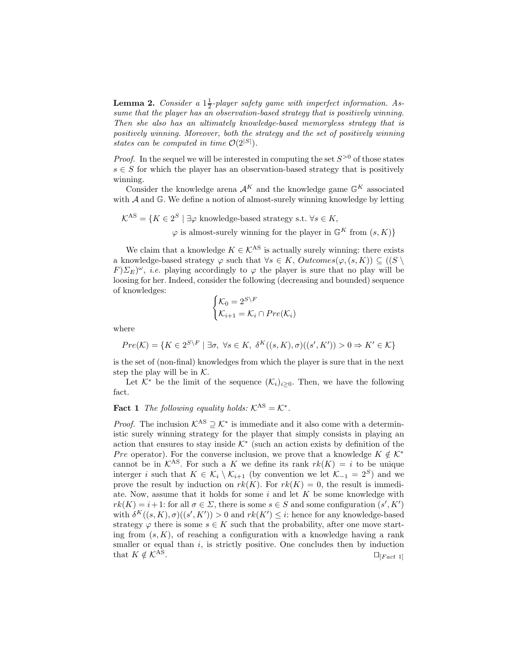**Lemma 2.** Consider a  $1\frac{1}{2}$ -player safety game with imperfect information. Assume that the player has an observation-based strategy that is positively winning. Then she also has an ultimately knowledge-based memoryless strategy that is positively winning. Moreover, both the strategy and the set of positively winning states can be computed in time  $\mathcal{O}(2^{|S|})$ .

*Proof.* In the sequel we will be interested in computing the set  $S^{>0}$  of those states  $s \in S$  for which the player has an observation-based strategy that is positively winning.

Consider the knowledge arena  $\mathcal{A}^K$  and the knowledge game  $\mathbb{G}^K$  associated with  $A$  and  $\mathbb{G}$ . We define a notion of almost-surely winning knowledge by letting

$$
\mathcal{K}^{AS} = \{ K \in 2^S \mid \exists \varphi \text{ knowledge-based strategy s.t. } \forall s \in K,
$$
  

$$
\varphi \text{ is almost-surely winning for the player in } \mathbb{G}^K \text{ from } (s, K) \}
$$

We claim that a knowledge  $K \in \mathcal{K}^{AS}$  is actually surely winning: there exists a knowledge-based strategy  $\varphi$  such that  $\forall s \in K$ ,  $Outcomes(\varphi, (s, K)) \subseteq ((S \setminus$  $(F)\Sigma_E)^\omega$ , *i.e.* playing accordingly to  $\varphi$  the player is sure that no play will be loosing for her. Indeed, consider the following (decreasing and bounded) sequence of knowledges:

$$
\begin{cases} \mathcal{K}_0 = 2^{S \setminus F} \\ \mathcal{K}_{i+1} = \mathcal{K}_i \cap Pre(\mathcal{K}_i) \end{cases}
$$

where

$$
Pre(\mathcal{K}) = \{ K \in 2^{S \setminus F} \mid \exists \sigma, \ \forall s \in K, \ \delta^K((s, K), \sigma)((s', K')) > 0 \Rightarrow K' \in \mathcal{K} \}
$$

is the set of (non-final) knowledges from which the player is sure that in the next step the play will be in  $K$ .

Let  $\mathcal{K}^*$  be the limit of the sequence  $(\mathcal{K}_i)_{i>0}$ . Then, we have the following fact.

### **Fact 1** The following equality holds:  $K^{AS} = K^*$ .

*Proof.* The inclusion  $K^{AS} \supseteq K^*$  is immediate and it also come with a deterministic surely winning strategy for the player that simply consists in playing an action that ensures to stay inside  $K^*$  (such an action exists by definition of the *Pre* operator). For the converse inclusion, we prove that a knowledge  $K \notin \mathcal{K}^*$ cannot be in  $\mathcal{K}^{AS}$ . For such a K we define its rank  $rk(K) = i$  to be unique interger i such that  $K \in \mathcal{K}_i \setminus \mathcal{K}_{i+1}$  (by convention we let  $\mathcal{K}_{-1} = 2^S$ ) and we prove the result by induction on  $rk(K)$ . For  $rk(K) = 0$ , the result is immediate. Now, assume that it holds for some  $i$  and let  $K$  be some knowledge with  $rk(K) = i + 1$ : for all  $\sigma \in \Sigma$ , there is some  $s \in S$  and some configuration  $(s', K')$ with  $\delta^K((s, K), \sigma)((s', K')) > 0$  and  $rk(K') \leq i$ : hence for any knowledge-based strategy  $\varphi$  there is some  $s \in K$  such that the probability, after one move starting from  $(s, K)$ , of reaching a configuration with a knowledge having a rank smaller or equal than  $i$ , is strictly positive. One concludes then by induction that  $K \notin \mathcal{K}^{AS}$ .  $\Box_{[Fact 1]}$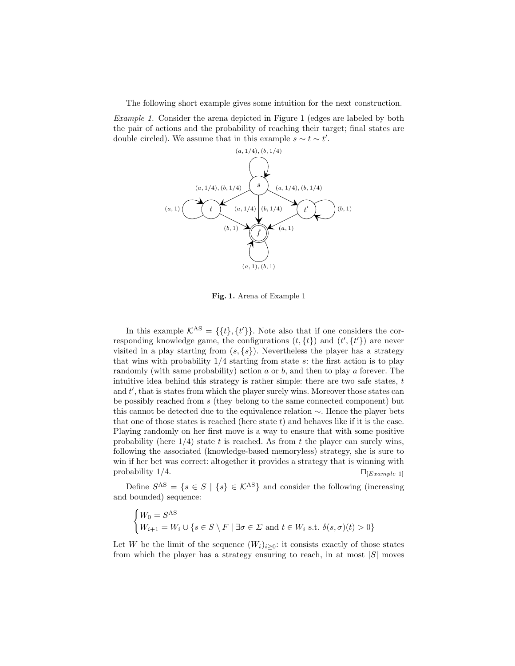The following short example gives some intuition for the next construction.

Example 1. Consider the arena depicted in Figure 1 (edges are labeled by both the pair of actions and the probability of reaching their target; final states are double circled). We assume that in this example  $s \sim t \sim t'$ .



Fig. 1. Arena of Example 1

In this example  $K^{AS} = \{\{t\}, \{t'\}\}\$ . Note also that if one considers the corresponding knowledge game, the configurations  $(t, \{t\})$  and  $(t', \{t'\})$  are never visited in a play starting from  $(s, \{s\})$ . Nevertheless the player has a strategy that wins with probability  $1/4$  starting from state s: the first action is to play randomly (with same probability) action  $a$  or  $b$ , and then to play  $a$  forever. The intuitive idea behind this strategy is rather simple: there are two safe states, t and  $t'$ , that is states from which the player surely wins. Moreover those states can be possibly reached from s (they belong to the same connected component) but this cannot be detected due to the equivalence relation ∼. Hence the player bets that one of those states is reached (here state  $t$ ) and behaves like if it is the case. Playing randomly on her first move is a way to ensure that with some positive probability (here  $1/4$ ) state t is reached. As from t the player can surely wins, following the associated (knowledge-based memoryless) strategy, she is sure to win if her bet was correct: altogether it provides a strategy that is winning with probability  $1/4$ .  $\Box_{[Example 1]}$ 

Define  $S^{AS} = \{s \in S \mid \{s\} \in \mathcal{K}^{AS}\}\$  and consider the following (increasing and bounded) sequence:

$$
\begin{cases} W_0 = S^{\text{AS}} \\ W_{i+1} = W_i \cup \{ s \in S \setminus F \mid \exists \sigma \in \Sigma \text{ and } t \in W_i \text{ s.t. } \delta(s, \sigma)(t) > 0 \} \end{cases}
$$

Let W be the limit of the sequence  $(W_i)_{i>0}$ : it consists exactly of those states from which the player has a strategy ensuring to reach, in at most  $|S|$  moves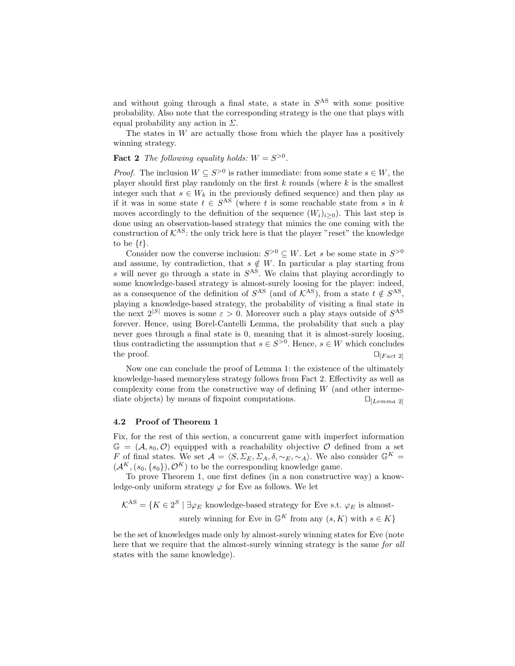and without going through a final state, a state in  $S^{AS}$  with some positive probability. Also note that the corresponding strategy is the one that plays with equal probability any action in  $\Sigma$ .

The states in  $W$  are actually those from which the player has a positively winning strategy.

### **Fact 2** The following equality holds:  $W = S^{>0}$ .

*Proof.* The inclusion  $W \subseteq S^{>0}$  is rather immediate: from some state  $s \in W$ , the player should first play randomly on the first  $k$  rounds (where  $k$  is the smallest integer such that  $s \in W_k$  in the previously defined sequence) and then play as if it was in some state  $t \in S^{AS}$  (where t is some reachable state from s in k moves accordingly to the definition of the sequence  $(W_i)_{i\geq 0}$ . This last step is done using an observation-based strategy that mimics the one coming with the construction of  $K^{AS}$ : the only trick here is that the player "reset" the knowledge to be  $\{t\}$ .

Consider now the converse inclusion:  $S^{>0} \subseteq W$ . Let s be some state in  $S^{>0}$ and assume, by contradiction, that  $s \notin W$ . In particular a play starting from s will never go through a state in  $S^{AS}$ . We claim that playing accordingly to some knowledge-based strategy is almost-surely loosing for the player: indeed, as a consequence of the definition of  $S^{AS}$  (and of  $\mathcal{K}^{AS}$ ), from a state  $t \notin S^{AS}$ , playing a knowledge-based strategy, the probability of visiting a final state in the next  $2^{|S|}$  moves is some  $\varepsilon > 0$ . Moreover such a play stays outside of  $S^{AS}$ forever. Hence, using Borel-Cantelli Lemma, the probability that such a play never goes through a final state is 0, meaning that it is almost-surely loosing, thus contradicting the assumption that  $s \in S^{>0}$ . Hence,  $s \in W$  which concludes the proof.  $\Box_{[Fact 2]}$ 

Now one can conclude the proof of Lemma 1: the existence of the ultimately knowledge-based memoryless strategy follows from Fact 2. Effectivity as well as complexity come from the constructive way of defining  $W$  (and other intermediate objects) by means of fixpoint computations.  $\square_{[Lemma 2]}$ 

#### 4.2 Proof of Theorem 1

Fix, for the rest of this section, a concurrent game with imperfect information  $\mathbb{G} = (\mathcal{A}, s_0, \mathcal{O})$  equipped with a reachability objective  $\mathcal{O}$  defined from a set F of final states. We set  $\mathcal{A} = \langle S, \Sigma_E, \Sigma_A, \delta, \sim_E, \sim_A \rangle$ . We also consider  $\mathbb{G}^K =$  $({\cal A}^{K},(s_0,\{s_0\}),{\cal O}^{K})$  to be the corresponding knowledge game.

To prove Theorem 1, one first defines (in a non constructive way) a knowledge-only uniform strategy  $\varphi$  for Eve as follows. We let

$$
\mathcal{K}^{AS} = \{ K \in 2^S \mid \exists \varphi_E \text{ knowledge-based strategy for Eve s.t. } \varphi_E \text{ is almost-}
$$
  
surely winning for Eve in  $\mathbb{G}^K$  from any  $(s, K)$  with  $s \in K \}$ 

be the set of knowledges made only by almost-surely winning states for Eve (note here that we require that the almost-surely winning strategy is the same for all states with the same knowledge).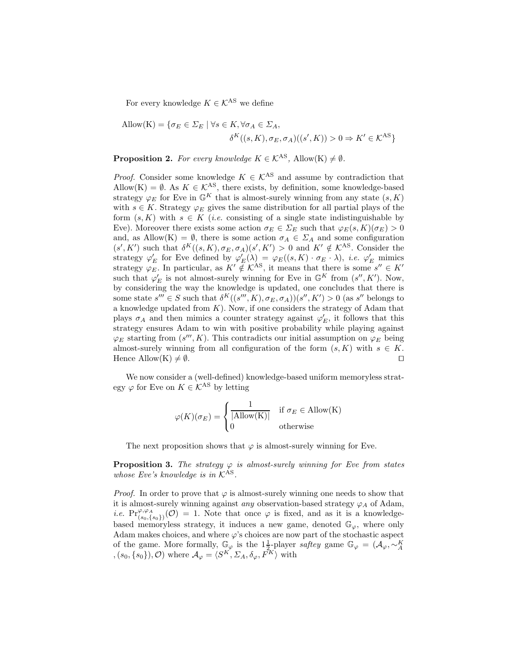For every knowledge  $K\in\mathcal{K}^\mathrm{AS}$  we define

$$
Allow(K) = \{ \sigma_E \in \Sigma_E \mid \forall s \in K, \forall \sigma_A \in \Sigma_A, \\ \delta^K((s, K), \sigma_E, \sigma_A)((s', K)) > 0 \Rightarrow K' \in \mathcal{K}^{AS} \}
$$

**Proposition 2.** For every knowledge  $K \in \mathcal{K}^{AS}$ , Allow $(K) \neq \emptyset$ .

*Proof.* Consider some knowledge  $K \in \mathcal{K}^{AS}$  and assume by contradiction that Allow(K) =  $\emptyset$ . As  $K \in \mathcal{K}^{AS}$ , there exists, by definition, some knowledge-based strategy  $\varphi_E$  for Eve in  $\mathbb{G}^K$  that is almost-surely winning from any state  $(s, K)$ with  $s \in K$ . Strategy  $\varphi_E$  gives the same distribution for all partial plays of the form  $(s, K)$  with  $s \in K$  (*i.e.* consisting of a single state indistinguishable by Eve). Moreover there exists some action  $\sigma_E \in \Sigma_E$  such that  $\varphi_E(s, K)(\sigma_E) > 0$ and, as Allow(K) =  $\emptyset$ , there is some action  $\sigma_A \in \Sigma_A$  and some configuration  $(s', K')$  such that  $\delta^K((s, K), \sigma_E, \sigma_A)(s', K') > 0$  and  $K' \notin \mathcal{K}^{AS}$ . Consider the strategy  $\varphi'_E$  for Eve defined by  $\varphi'_E(\lambda) = \varphi_E((s, K) \cdot \sigma_E \cdot \lambda), i.e. \varphi'_E$  mimics strategy  $\varphi_E$ . In particular, as  $K' \notin \mathcal{K}^{AS}$ , it means that there is some  $s'' \in K'$ such that  $\varphi'_E$  is not almost-surely winning for Eve in  $\mathbb{G}^K$  from  $(s'', K')$ . Now, by considering the way the knowledge is updated, one concludes that there is some state  $s''' \in S$  such that  $\delta^K((s''', K), \sigma_E, \sigma_A))(s'', K') > 0$  (as  $s''$  belongs to a knowledge updated from  $K$ ). Now, if one considers the strategy of Adam that plays  $\sigma_A$  and then mimics a counter strategy against  $\varphi'_E$ , it follows that this strategy ensures Adam to win with positive probability while playing against  $\varphi_E$  starting from  $(s''', K)$ . This contradicts our initial assumption on  $\varphi_E$  being almost-surely winning from all configuration of the form  $(s, K)$  with  $s \in K$ . Hence Allow(K)  $\neq \emptyset$ . □

We now consider a (well-defined) knowledge-based uniform memoryless strategy  $\varphi$  for Eve on  $K \in \mathcal{K}^{AS}$  by letting

$$
\varphi(K)(\sigma_E) = \begin{cases} \frac{1}{|\text{Allow}(K)|} & \text{if } \sigma_E \in \text{Allow}(K) \\ 0 & \text{otherwise} \end{cases}
$$

The next proposition shows that  $\varphi$  is almost-surely winning for Eve.

**Proposition 3.** The strategy  $\varphi$  is almost-surely winning for Eve from states whose Eve's knowledge is in  $K^{AS}$ .

*Proof.* In order to prove that  $\varphi$  is almost-surely winning one needs to show that it is almost-surely winning against *any* observation-based strategy  $\varphi_A$  of Adam, *i.e.*  $\Pr_{(s_0,\{s_0\})}^{\varphi,\varphi_A}(\mathcal{O}) = 1$ . Note that once  $\varphi$  is fixed, and as it is a knowledgebased memoryless strategy, it induces a new game, denoted  $\mathbb{G}_{\varphi}$ , where only Adam makes choices, and where  $\varphi$ 's choices are now part of the stochastic aspect of the game. More formally,  $\mathbb{G}_{\varphi}$  is the  $1\frac{1}{2}$ -player saftey game  $\mathbb{G}_{\varphi} = (\mathcal{A}_{\varphi}, \sim_{A}^{K})$ ,  $(s_0, \{s_0\})$ ,  $\mathcal{O}$ ) where  $\mathcal{A}_{\varphi} = \langle S^K, \Sigma_A, \delta_{\varphi}, F^K \rangle$  with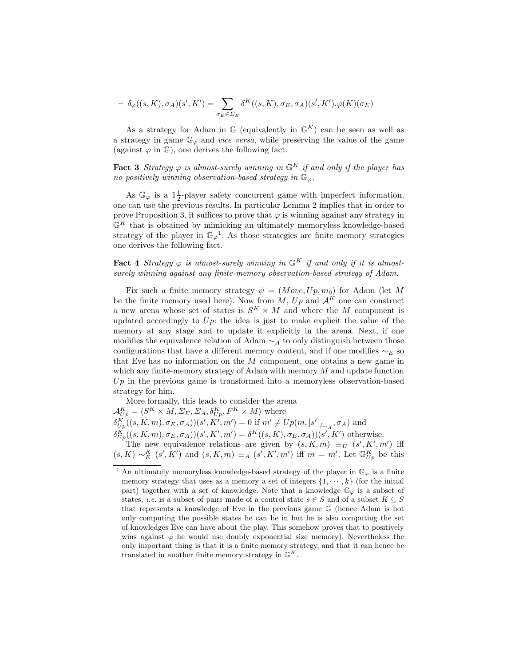$$
- \delta_{\varphi}((s,K), \sigma_A)(s',K') = \sum_{\sigma_E \in \Sigma_E} \delta^K((s,K), \sigma_E, \sigma_A)(s',K').\varphi(K)(\sigma_E)
$$

As a strategy for Adam in  $\mathbb{G}$  (equivalently in  $\mathbb{G}^K$ ) can be seen as well as a strategy in game  $\mathbb{G}_{\varphi}$  and *vice versa*, while preserving the value of the game (against  $\varphi$  in  $\mathbb{G}$ ), one derives the following fact.

**Fact 3** Strategy  $\varphi$  is almost-surely winning in  $\mathbb{G}^K$  if and only if the player has no positively winning observation-based strategy in  $\mathbb{G}_{\varphi}$ .

As  $\mathbb{G}_{\varphi}$  is a  $1\frac{1}{2}$ -player safety concurrent game with imperfect information, one can use the previous results. In particular Lemma 2 implies that in order to prove Proposition 3, it suffices to prove that  $\varphi$  is winning against any strategy in  $\mathbb{G}^K$  that is obtained by mimicking an ultimately memoryless knowledge-based strategy of the player in  $\mathbb{G}_{\varphi}^{-1}$ . As those strategies are finite memory strategies one derives the following fact.

### **Fact 4** Strategy  $\varphi$  is almost-surely winning in  $\mathbb{G}^K$  if and only if it is almostsurely winning against any finite-memory observation-based strategy of Adam.

Fix such a finite memory strategy  $\psi = (Move, Up, m_0)$  for Adam (let M be the finite memory used here). Now from  $M$ ,  $Up$  and  $\mathcal{A}^K$  one can construct a new arena whose set of states is  $S^K \times M$  and where the M component is updated accordingly to  $Up$ : the idea is just to make explicit the value of the memory at any stage and to update it explicitly in the arena. Next, if one modifies the equivalence relation of Adam  $\sim_A$  to only distinguish between those configurations that have a different memory content, and if one modifies  $\sim_E$  so that Eve has no information on the M component, one obtains a new game in which any finite-memory strategy of Adam with memory  $M$  and update function  $Up$  in the previous game is transformed into a memoryless observation-based strategy for him.

More formally, this leads to consider the arena  $\mathcal{A}^K_{Up} = \langle S^K \times M, \Sigma_E, \Sigma_A, \delta^K_{Up}, F^K \times M \rangle$  where  $\delta^K_{Up}((s, K, m), \sigma_E, \sigma_A))(s', K', m') = 0$  if  $m' \neq Up(m, [s']_{\wedge_{\neg A}}, \sigma_A)$  and  $\delta_{Up}^{K}((s, K, m), \sigma_{E}, \sigma_{A}))(s', K', m') = \delta^{K}((s, K), \sigma_{E}, \sigma_{A}))(s', K')$  otherwise. The new equivalence relations are given by  $(s, K, m) \equiv_E (s', K', m')$  iff  $(s, K) \sim_E^K (s', K')$  and  $(s, K, m) \equiv_A (s', K', m')$  iff  $m = m'$ . Let  $\mathbb{G}_{Up}^K$  be this

<sup>&</sup>lt;sup>1</sup> An ultimately memoryless knowledge-based strategy of the player in  $\mathbb{G}_{\varphi}$  is a finite memory strategy that uses as a memory a set of integers  $\{1, \dots, k\}$  (for the initial part) together with a set of knowledge. Note that a knowledge  $\mathbb{G}_{\varphi}$  is a subset of states, *i.e.* is a subset of pairs made of a control state  $s \in S$  and of a subset  $K \subseteq S$ that represents a knowledge of Eve in the previous game G (hence Adam is not only computing the possible states he can be in but he is also computing the set of knowledges Eve can have about the play. This somehow proves that to positively wins against  $\varphi$  he would use doubly exponential size memory). Nevertheless the only important thing is that it is a finite memory strategy, and that it can hence be translated in another finite memory strategy in  $\mathbb{G}^K$ .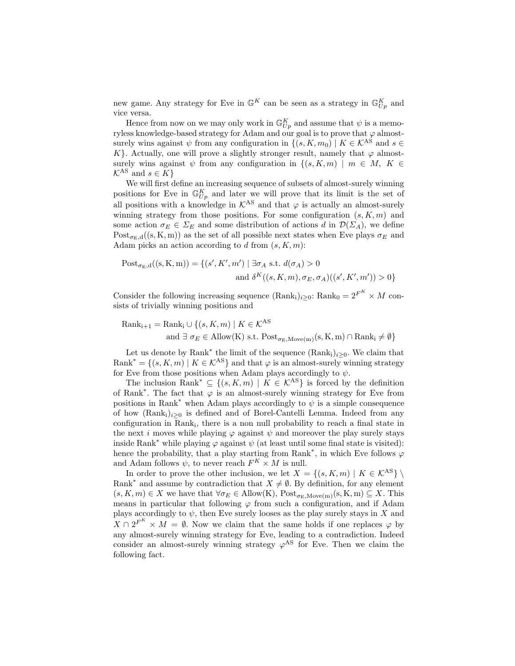new game. Any strategy for Eve in  $\mathbb{G}^K$  can be seen as a strategy in  $\mathbb{G}_{Up}^K$  and vice versa.

Hence from now on we may only work in  $\mathbb{G}_{Up}^K$  and assume that  $\psi$  is a memoryless knowledge-based strategy for Adam and our goal is to prove that  $\varphi$  almostsurely wins against  $\psi$  from any configuration in  $\{(s, K, m_0) \mid K \in \mathcal{K}^{\text{AS}} \text{ and } s \in$ K}. Actually, one will prove a slightly stronger result, namely that  $\varphi$  almostsurely wins against  $\psi$  from any configuration in  $\{(s, K, m) \mid m \in M, K \in$  $\mathcal{K}$ <sup>AS</sup> and  $s \in K$ }

We will first define an increasing sequence of subsets of almost-surely winning positions for Eve in  $\mathbb{G}_{Up}^K$  and later we will prove that its limit is the set of all positions with a knowledge in  $K^{AS}$  and that  $\varphi$  is actually an almost-surely winning strategy from those positions. For some configuration  $(s, K, m)$  and some action  $\sigma_E \in \Sigma_E$  and some distribution of actions d in  $\mathcal{D}(\Sigma_A)$ , we define Post<sub> $\sigma_E$ ,d</sub>((s, K, m)) as the set of all possible next states when Eve plays  $\sigma_E$  and Adam picks an action according to  $d$  from  $(s, K, m)$ :

$$
Post_{\sigma_{E},d}((s,K,m)) = \{ (s', K', m') \mid \exists \sigma_A \text{ s.t. } d(\sigma_A) > 0
$$
  
and  $\delta^K((s, K, m), \sigma_E, \sigma_A)((s', K', m')) > 0 \}$ 

Consider the following increasing sequence  $(Rank_i)_{i\geq 0}$ :  $Rank_0 = 2^{F^K} \times M$  consists of trivially winning positions and

$$
Rank_{i+1} = Rank_i \cup \{(s, K, m) \mid K \in \mathcal{K}^{AS}
$$
  
and  $\exists \sigma_E \in \text{Allow}(K) \text{ s.t. } Post_{\sigma_E, Move(m)}(s, K, m) \cap Rank_i \neq \emptyset\}$ 

Let us denote by Rank<sup>\*</sup> the limit of the sequence  $(Rank_i)_{i\geq 0}$ . We claim that Rank<sup>\*</sup> = {(s, K, m) | K ∈ K<sup>AS</sup>} and that  $\varphi$  is an almost-surely winning strategy for Eve from those positions when Adam plays accordingly to  $\psi$ .

The inclusion Rank<sup>\*</sup>  $\subseteq$  {(s, K, m) | K  $\in$  K<sup>AS</sup>} is forced by the definition of Rank<sup>\*</sup>. The fact that  $\varphi$  is an almost-surely winning strategy for Eve from positions in Rank<sup>\*</sup> when Adam plays accordingly to  $\psi$  is a simple consequence of how  $(Rank_i)_{i>0}$  is defined and of Borel-Cantelli Lemma. Indeed from any configuration in Rank<sup>i</sup> , there is a non null probability to reach a final state in the next i moves while playing  $\varphi$  against  $\psi$  and moreover the play surely stays inside Rank<sup>\*</sup> while playing  $\varphi$  against  $\psi$  (at least until some final state is visited): hence the probability, that a play starting from Rank<sup>\*</sup>, in which Eve follows  $\varphi$ and Adam follows  $\psi$ , to never reach  $F^K \times M$  is null.

In order to prove the other inclusion, we let  $X = \{(s, K, m) | K \in \mathcal{K}^{AS}\}\$ Rank<sup>\*</sup> and assume by contradiction that  $X \neq \emptyset$ . By definition, for any element  $(s, K, m) \in X$  we have that  $\forall \sigma_E \in \text{Allow}(K), \text{Post}_{\sigma_E, \text{Move}(m)}(s, K, m) \subseteq X$ . This means in particular that following  $\varphi$  from such a configuration, and if Adam plays accordingly to  $\psi$ , then Eve surely looses as the play surely stays in X and  $X \cap 2^{F^K} \times M = \emptyset$ . Now we claim that the same holds if one replaces  $\varphi$  by any almost-surely winning strategy for Eve, leading to a contradiction. Indeed consider an almost-surely winning strategy  $\varphi^{AS}$  for Eve. Then we claim the following fact.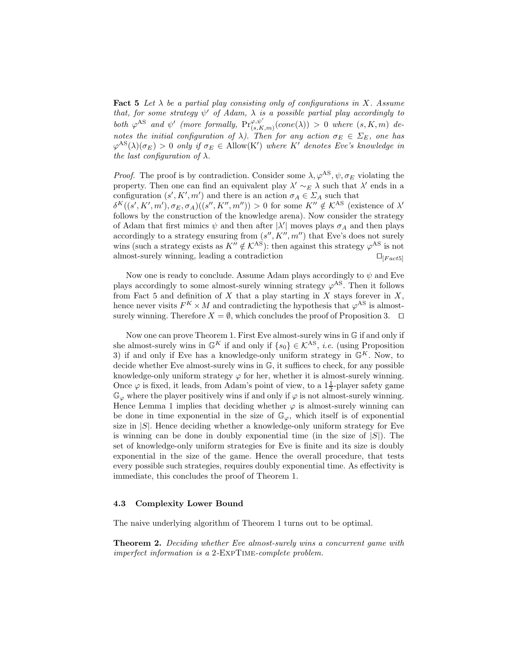Fact 5 Let  $\lambda$  be a partial play consisting only of configurations in X. Assume that, for some strategy  $\psi'$  of Adam,  $\lambda$  is a possible partial play accordingly to both  $\varphi^{\rm AS}$  and  $\psi'$  (more formally,  $Pr_{(s,K,m)}^{\varphi,\psi'}(cone(\lambda)) > 0$  where  $(s,K,m)$  denotes the initial configuration of  $\lambda$ ). Then for any action  $\sigma_E \in \Sigma_E$ , one has  $\varphi^{\text{AS}}(\lambda)(\sigma_E) > 0$  only if  $\sigma_E \in \text{Allow}(K')$  where K' denotes Eve's knowledge in the last configuration of  $\lambda$ .

*Proof.* The proof is by contradiction. Consider some  $\lambda$ ,  $\varphi^{AS}$ ,  $\psi$ ,  $\sigma_E$  violating the property. Then one can find an equivalent play  $\lambda' \sim_E \lambda$  such that  $\lambda'$  ends in a configuration  $(s', K', m')$  and there is an action  $\sigma_A \in \Sigma_A$  such that  $\delta^K((s', K', m'), \sigma_E, \sigma_A)((s'', K'', m'')) > 0$  for some  $K'' \notin \mathcal{K}^{AS}$  (existence of  $\lambda'$ follows by the construction of the knowledge arena). Now consider the strategy of Adam that first mimics  $\psi$  and then after  $|\lambda'|$  moves plays  $\sigma_A$  and then plays accordingly to a strategy ensuring from  $(s'', K'', m'')$  that Eve's does not surely wins (such a strategy exists as  $K'' \notin \mathcal{K}^{AS}$ ): then against this strategy  $\varphi^{AS}$  is not almost-surely winning, leading a contradiction  $\Box_{[Fact 5]}$ 

Now one is ready to conclude. Assume Adam plays accordingly to  $\psi$  and Eve plays accordingly to some almost-surely winning strategy  $\varphi^{AS}$ . Then it follows from Fact 5 and definition of  $X$  that a play starting in  $X$  stays forever in  $X$ , hence never visits  $F^K \times M$  and contradicting the hypothesis that  $\varphi^{AS}$  is almostsurely winning. Therefore  $X = \emptyset$ , which concludes the proof of Proposition 3. □

Now one can prove Theorem 1. First Eve almost-surely wins in G if and only if she almost-surely wins in  $\mathbb{G}^K$  if and only if  $\{s_0\} \in \mathcal{K}^{\mathsf{AS}}$ , *i.e.* (using Proposition 3) if and only if Eve has a knowledge-only uniform strategy in  $\mathbb{G}^K$ . Now, to decide whether Eve almost-surely wins in G, it suffices to check, for any possible knowledge-only uniform strategy  $\varphi$  for her, whether it is almost-surely winning. Once  $\varphi$  is fixed, it leads, from Adam's point of view, to a  $1\frac{1}{2}$ -player safety game  $\mathbb{G}_{\varphi}$  where the player positively wins if and only if  $\varphi$  is not almost-surely winning. Hence Lemma 1 implies that deciding whether  $\varphi$  is almost-surely winning can be done in time exponential in the size of  $\mathbb{G}_{\varphi}$ , which itself is of exponential size in  $|S|$ . Hence deciding whether a knowledge-only uniform strategy for Eve is winning can be done in doubly exponential time (in the size of  $|S|$ ). The set of knowledge-only uniform strategies for Eve is finite and its size is doubly exponential in the size of the game. Hence the overall procedure, that tests every possible such strategies, requires doubly exponential time. As effectivity is immediate, this concludes the proof of Theorem 1.

#### 4.3 Complexity Lower Bound

The naive underlying algorithm of Theorem 1 turns out to be optimal.

**Theorem 2.** Deciding whether Eve almost-surely wins a concurrent game with imperfect information is a 2-ExpTime-complete problem.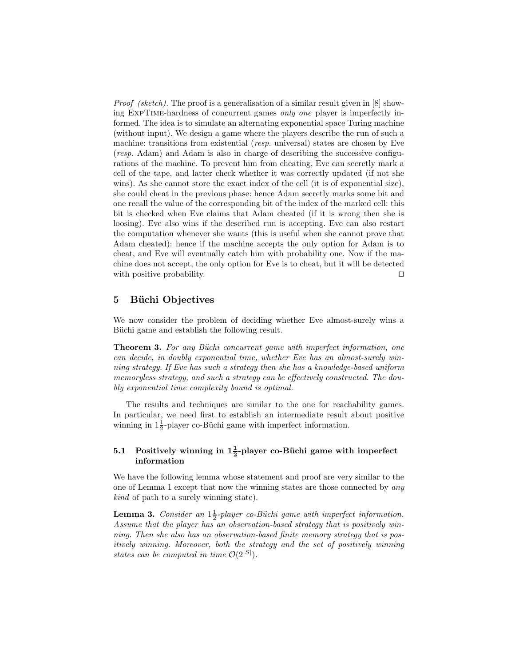*Proof (sketch)*. The proof is a generalisation of a similar result given in  $[8]$  showing ExpTime-hardness of concurrent games only one player is imperfectly informed. The idea is to simulate an alternating exponential space Turing machine (without input). We design a game where the players describe the run of such a machine: transitions from existential (resp. universal) states are chosen by Eve (resp. Adam) and Adam is also in charge of describing the successive configurations of the machine. To prevent him from cheating, Eve can secretly mark a cell of the tape, and latter check whether it was correctly updated (if not she wins). As she cannot store the exact index of the cell (it is of exponential size), she could cheat in the previous phase: hence Adam secretly marks some bit and one recall the value of the corresponding bit of the index of the marked cell: this bit is checked when Eve claims that Adam cheated (if it is wrong then she is loosing). Eve also wins if the described run is accepting. Eve can also restart the computation whenever she wants (this is useful when she cannot prove that Adam cheated): hence if the machine accepts the only option for Adam is to cheat, and Eve will eventually catch him with probability one. Now if the machine does not accept, the only option for Eve is to cheat, but it will be detected with positive probability. □

### 5 Büchi Objectives

We now consider the problem of deciding whether Eve almost-surely wins a Büchi game and establish the following result.

Theorem 3. For any Büchi concurrent game with imperfect information, one can decide, in doubly exponential time, whether Eve has an almost-surely winning strategy. If Eve has such a strategy then she has a knowledge-based uniform memoryless strategy, and such a strategy can be effectively constructed. The doubly exponential time complexity bound is optimal.

The results and techniques are similar to the one for reachability games. In particular, we need first to establish an intermediate result about positive winning in  $1\frac{1}{2}$ -player co-Büchi game with imperfect information.

# 5.1 Positively winning in  $1\frac{1}{2}$ -player co-Büchi game with imperfect information

We have the following lemma whose statement and proof are very similar to the one of Lemma 1 except that now the winning states are those connected by any kind of path to a surely winning state).

**Lemma 3.** Consider an  $1\frac{1}{2}$ -player co-Büchi game with imperfect information. Assume that the player has an observation-based strategy that is positively winning. Then she also has an observation-based finite memory strategy that is positively winning. Moreover, both the strategy and the set of positively winning states can be computed in time  $\mathcal{O}(2^{|S|})$ .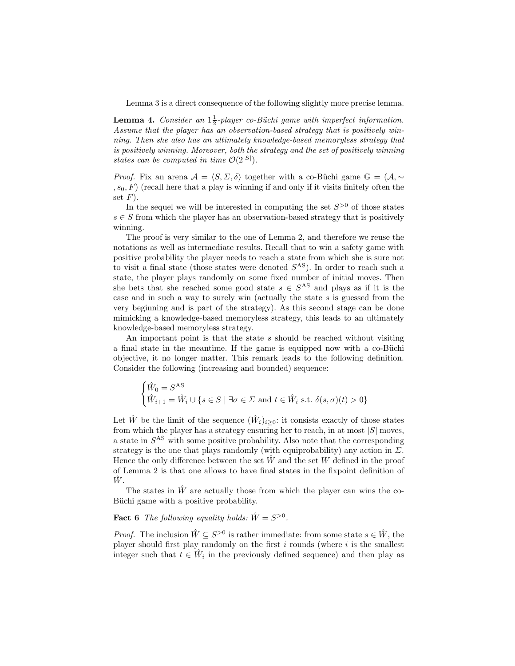Lemma 3 is a direct consequence of the following slightly more precise lemma.

**Lemma 4.** Consider an  $1\frac{1}{2}$ -player co-Büchi game with imperfect information. Assume that the player has an observation-based strategy that is positively winning. Then she also has an ultimately knowledge-based memoryless strategy that is positively winning. Moreover, both the strategy and the set of positively winning states can be computed in time  $\mathcal{O}(2^{|S|})$ .

*Proof.* Fix an arena  $A = \langle S, \Sigma, \delta \rangle$  together with a co-Büchi game  $\mathbb{G} = (A, \sim)$  $(s_0, F)$  (recall here that a play is winning if and only if it visits finitely often the set  $F$ ).

In the sequel we will be interested in computing the set  $S^{>0}$  of those states  $s \in S$  from which the player has an observation-based strategy that is positively winning.

The proof is very similar to the one of Lemma 2, and therefore we reuse the notations as well as intermediate results. Recall that to win a safety game with positive probability the player needs to reach a state from which she is sure not to visit a final state (those states were denoted  $S^{AS}$ ). In order to reach such a state, the player plays randomly on some fixed number of initial moves. Then she bets that she reached some good state  $s \in S^{AS}$  and plays as if it is the case and in such a way to surely win (actually the state s is guessed from the very beginning and is part of the strategy). As this second stage can be done mimicking a knowledge-based memoryless strategy, this leads to an ultimately knowledge-based memoryless strategy.

An important point is that the state s should be reached without visiting a final state in the meantime. If the game is equipped now with a co-Büchi objective, it no longer matter. This remark leads to the following definition. Consider the following (increasing and bounded) sequence:

$$
\begin{cases} \hat{W}_0 = S^{\text{AS}} \\ \hat{W}_{i+1} = \hat{W}_i \cup \{ s \in S \mid \exists \sigma \in \Sigma \text{ and } t \in \hat{W}_i \text{ s.t. } \delta(s, \sigma)(t) > 0 \} \end{cases}
$$

Let  $\hat{W}$  be the limit of the sequence  $(\hat{W}_i)_{i\geq 0}$ : it consists exactly of those states from which the player has a strategy ensuring her to reach, in at most  $|S|$  moves, a state in S AS with some positive probability. Also note that the corresponding strategy is the one that plays randomly (with equiprobability) any action in  $\Sigma$ . Hence the only difference between the set  $W$  and the set  $W$  defined in the proof of Lemma 2 is that one allows to have final states in the fixpoint definition of  $W$ .

The states in  $\hat{W}$  are actually those from which the player can wins the co-Büchi game with a positive probability.

# **Fact 6** The following equality holds:  $\hat{W} = S^{>0}$ .

*Proof.* The inclusion  $\hat{W} \subseteq S^{>0}$  is rather immediate: from some state  $s \in \hat{W}$ , the player should first play randomly on the first  $i$  rounds (where  $i$  is the smallest integer such that  $t \in \hat{W}_i$  in the previously defined sequence) and then play as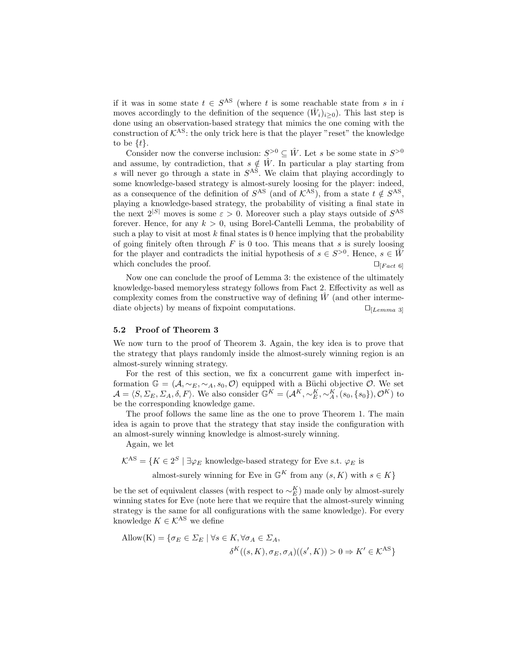if it was in some state  $t \in S^{AS}$  (where t is some reachable state from s in i moves accordingly to the definition of the sequence  $(\hat{W}_i)_{i\geq 0}$ ). This last step is done using an observation-based strategy that mimics the one coming with the construction of  $K^{AS}$ : the only trick here is that the player "reset" the knowledge to be  $\{t\}$ .

Consider now the converse inclusion:  $S^{>0} \subseteq \hat{W}$ . Let s be some state in  $S^{>0}$ and assume, by contradiction, that  $s \notin \hat{W}$ . In particular a play starting from s will never go through a state in  $S^{AS}$ . We claim that playing accordingly to some knowledge-based strategy is almost-surely loosing for the player: indeed, as a consequence of the definition of  $S^{AS}$  (and of  $\mathcal{K}^{AS}$ ), from a state  $t \notin S^{AS}$ , playing a knowledge-based strategy, the probability of visiting a final state in the next  $2^{|S|}$  moves is some  $\varepsilon > 0$ . Moreover such a play stays outside of  $S^{AS}$ forever. Hence, for any  $k > 0$ , using Borel-Cantelli Lemma, the probability of such a play to visit at most  $k$  final states is 0 hence implying that the probability of going finitely often through  $F$  is 0 too. This means that s is surely loosing for the player and contradicts the initial hypothesis of  $s \in S^{>0}$ . Hence,  $s \in \hat{W}$ which concludes the proof.  $\Box_{[Fact 6]}$ 

Now one can conclude the proof of Lemma 3: the existence of the ultimately knowledge-based memoryless strategy follows from Fact 2. Effectivity as well as complexity comes from the constructive way of defining  $\hat{W}$  (and other intermediate objects) by means of fixpoint computations.  $\Box_{[Lemma 3]}$ 

#### 5.2 Proof of Theorem 3

We now turn to the proof of Theorem 3. Again, the key idea is to prove that the strategy that plays randomly inside the almost-surely winning region is an almost-surely winning strategy.

For the rest of this section, we fix a concurrent game with imperfect information  $\mathbb{G} = (\mathcal{A}, \sim_E, \sim_A, s_0, \mathcal{O})$  equipped with a Büchi objective  $\mathcal{O}$ . We set  $\mathcal{A} = \langle S, \Sigma_E, \Sigma_A, \delta, F \rangle$ . We also consider  $\mathbb{G}^K = (\mathcal{A}^K, \sim_E^K, \sim_A^K, (s_0, \{s_0\}), \mathcal{O}^K)$  to be the corresponding knowledge game.

The proof follows the same line as the one to prove Theorem 1. The main idea is again to prove that the strategy that stay inside the configuration with an almost-surely winning knowledge is almost-surely winning.

Again, we let

 $\mathcal{K}^{\text{AS}} = \{ K \in 2^S \mid \exists \varphi_E \text{ knowledge-based strategy for Eve s.t. } \varphi_E \text{ is }$ almost-surely winning for Eve in  $\mathbb{G}^K$  from any  $(s, K)$  with  $s \in K$ }

be the set of equivalent classes (with respect to  $\sim_E^K$ ) made only by almost-surely winning states for Eve (note here that we require that the almost-surely winning strategy is the same for all configurations with the same knowledge). For every knowledge  $K \in \mathcal{K}^{AS}$  we define

$$
\text{Allow}(K) = \{ \sigma_E \in \Sigma_E \mid \forall s \in K, \forall \sigma_A \in \Sigma_A,
$$

$$
\delta^K((s, K), \sigma_E, \sigma_A)((s', K)) > 0 \Rightarrow K' \in \mathcal{K}^{\text{AS}} \}
$$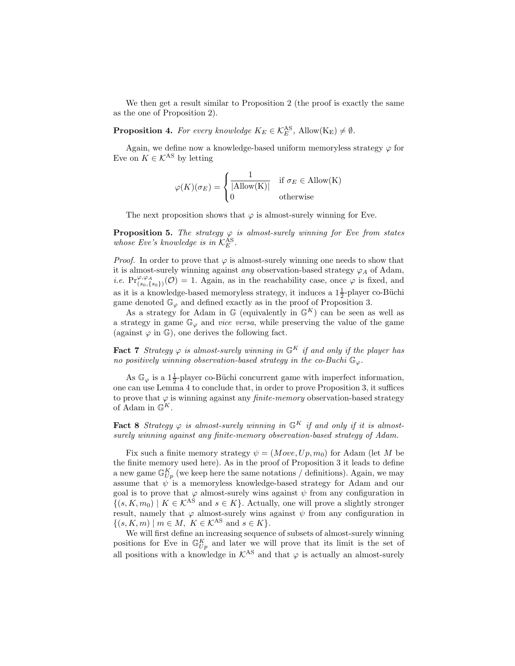We then get a result similar to Proposition 2 (the proof is exactly the same as the one of Proposition 2).

**Proposition 4.** For every knowledge  $K_E \in \mathcal{K}_E^{AS}$ , Allow $(K_E) \neq \emptyset$ .

Again, we define now a knowledge-based uniform memoryless strategy  $\varphi$  for Eve on  $K \in \mathcal{K}^{AS}$  by letting

$$
\varphi(K)(\sigma_E) = \begin{cases} \frac{1}{|\text{Allow}(K)|} & \text{if } \sigma_E \in \text{Allow}(K) \\ 0 & \text{otherwise} \end{cases}
$$

The next proposition shows that  $\varphi$  is almost-surely winning for Eve.

**Proposition 5.** The strategy  $\varphi$  is almost-surely winning for Eve from states whose Eve's knowledge is in  $\mathcal{K}_E^{\text{AS}}$ .

*Proof.* In order to prove that  $\varphi$  is almost-surely winning one needs to show that it is almost-surely winning against *any* observation-based strategy  $\varphi_A$  of Adam, *i.e.*  $\Pr_{(s_0,\{s_0\})}^{\varphi,\varphi_A}(\mathcal{O})=1$ . Again, as in the reachability case, once  $\varphi$  is fixed, and as it is a knowledge-based memoryless strategy, it induces a  $1\frac{1}{2}$  player co-Büchi game denoted  $\mathbb{G}_{\varphi}$  and defined exactly as in the proof of Proposition 3.

As a strategy for Adam in  $\mathbb{G}$  (equivalently in  $\mathbb{G}^K$ ) can be seen as well as a strategy in game  $\mathbb{G}_{\varphi}$  and *vice versa*, while preserving the value of the game (against  $\varphi$  in  $\mathbb{G}$ ), one derives the following fact.

**Fact 7** Strategy  $\varphi$  is almost-surely winning in  $\mathbb{G}^K$  if and only if the player has no positively winning observation-based strategy in the co-Buchi  $\mathbb{G}_{\varphi}$ .

As  $\mathbb{G}_{\varphi}$  is a  $1\frac{1}{2}$ -player co-Büchi concurrent game with imperfect information, one can use Lemma 4 to conclude that, in order to prove Proposition 3, it suffices to prove that  $\varphi$  is winning against any *finite-memory* observation-based strategy of Adam in  $\mathbb{G}^K$ .

**Fact 8** Strategy  $\varphi$  is almost-surely winning in  $\mathbb{G}^K$  if and only if it is almostsurely winning against any finite-memory observation-based strategy of Adam.

Fix such a finite memory strategy  $\psi = (Move, Up, m_0)$  for Adam (let M be the finite memory used here). As in the proof of Proposition 3 it leads to define a new game  $\mathbb{G}_{Up}^{K}$  (we keep here the same notations / definitions). Again, we may assume that  $\psi$  is a memoryless knowledge-based strategy for Adam and our goal is to prove that  $\varphi$  almost-surely wins against  $\psi$  from any configuration in  ${(s, K, m_0) \mid K \in \mathcal{K}^{AS} \text{ and } s \in K}$ . Actually, one will prove a slightly stronger result, namely that  $\varphi$  almost-surely wins against  $\psi$  from any configuration in  $\{(s, K, m) \mid m \in M, K \in \mathcal{K}^{AS} \text{ and } s \in K\}.$ 

We will first define an increasing sequence of subsets of almost-surely winning positions for Eve in  $\mathbb{G}_{Up}^K$  and later we will prove that its limit is the set of all positions with a knowledge in  $K^{AS}$  and that  $\varphi$  is actually an almost-surely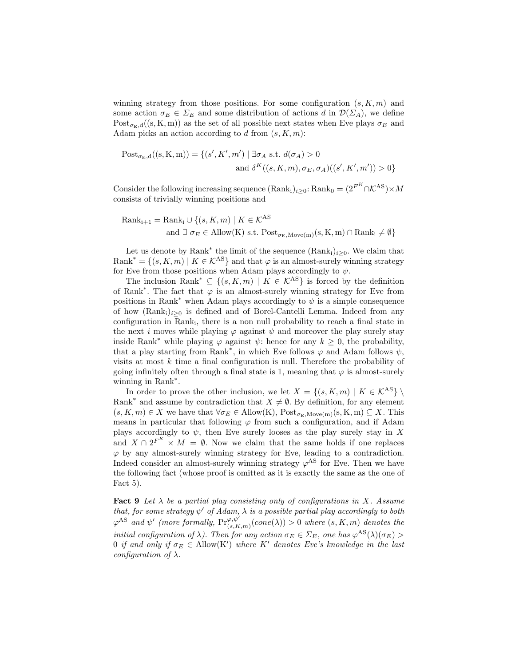winning strategy from those positions. For some configuration  $(s, K, m)$  and some action  $\sigma_E \in \Sigma_E$  and some distribution of actions d in  $\mathcal{D}(\Sigma_A)$ , we define Post<sub> $\sigma_E$ ,d</sub>((s, K, m)) as the set of all possible next states when Eve plays  $\sigma_E$  and Adam picks an action according to d from  $(s, K, m)$ :

$$
Post_{\sigma_{E},d}((s,K,m)) = \{ (s', K', m') \mid \exists \sigma_A \text{ s.t. } d(\sigma_A) > 0
$$
  
and  $\delta^K((s, K, m), \sigma_E, \sigma_A)((s', K', m')) > 0 \}$ 

Consider the following increasing sequence  $(Rank_i)_{i\geq 0}$ :  $Rank_0 = (2^{F^K} \cap K^{AS}) \times M$ consists of trivially winning positions and

$$
Rank_{i+1} = Rank_i \cup \{(s, K, m) \mid K \in \mathcal{K}^{AS}
$$
  
and  $\exists \sigma_E \in \text{Allow}(K) \text{ s.t. } Post_{\sigma_E, Move(m)}(s, K, m) \cap Rank_i \neq \emptyset\}$ 

Let us denote by Rank<sup>\*</sup> the limit of the sequence  $(Rank_i)_{i\geq 0}$ . We claim that  $Rank^* = \{(s, K, m) | K \in \mathcal{K}^{AS}\}\$ and that  $\varphi$  is an almost-surely winning strategy for Eve from those positions when Adam plays accordingly to  $\psi$ .

The inclusion Rank<sup>\*</sup>  $\subseteq$  {(s, K, m) | K  $\in$  K<sup>AS</sup>} is forced by the definition of Rank<sup>\*</sup>. The fact that  $\varphi$  is an almost-surely winning strategy for Eve from positions in Rank<sup>\*</sup> when Adam plays accordingly to  $\psi$  is a simple consequence of how  $(Rank<sub>i</sub>)<sub>i>0</sub>$  is defined and of Borel-Cantelli Lemma. Indeed from any configuration in Rank<sup>i</sup> , there is a non null probability to reach a final state in the next i moves while playing  $\varphi$  against  $\psi$  and moreover the play surely stay inside Rank<sup>\*</sup> while playing  $\varphi$  against  $\psi$ : hence for any  $k \geq 0$ , the probability, that a play starting from Rank<sup>\*</sup>, in which Eve follows  $\varphi$  and Adam follows  $\psi$ , visits at most  $k$  time a final configuration is null. Therefore the probability of going infinitely often through a final state is 1, meaning that  $\varphi$  is almost-surely winning in Rank<sup>\*</sup>.

In order to prove the other inclusion, we let  $X = \{(s, K, m) | K \in \mathcal{K}^{AS}\}\$ Rank<sup>\*</sup> and assume by contradiction that  $X \neq \emptyset$ . By definition, for any element  $(s, K, m) \in X$  we have that  $\forall \sigma_E \in \text{Allow}(K)$ ,  $\text{Post}_{\sigma_E, \text{Move}(m)}(s, K, m) \subseteq X$ . This means in particular that following  $\varphi$  from such a configuration, and if Adam plays accordingly to  $\psi$ , then Eve surely looses as the play surely stay in X and  $X \cap 2^{F^K} \times M = \emptyset$ . Now we claim that the same holds if one replaces  $\varphi$  by any almost-surely winning strategy for Eve, leading to a contradiction. Indeed consider an almost-surely winning strategy  $\varphi^{AS}$  for Eve. Then we have the following fact (whose proof is omitted as it is exactly the same as the one of Fact 5).

**Fact 9** Let  $\lambda$  be a partial play consisting only of configurations in X. Assume that, for some strategy  $\psi'$  of Adam,  $\lambda$  is a possible partial play accordingly to both  $\varphi^{\rm AS}$  and  $\psi'$  (more formally,  $Pr_{(s,K,m)}^{(\varphi,\psi')}(\text{cone}(\lambda)) > 0$  where  $(s,K,m)$  denotes the initial configuration of  $\lambda$ ). Then for any action  $\sigma_E \in \Sigma_E$ , one has  $\varphi^{\text{AS}}(\lambda)(\sigma_E) >$ 0 if and only if  $\sigma_E \in$  Allow(K') where K' denotes Eve's knowledge in the last configuration of  $\lambda$ .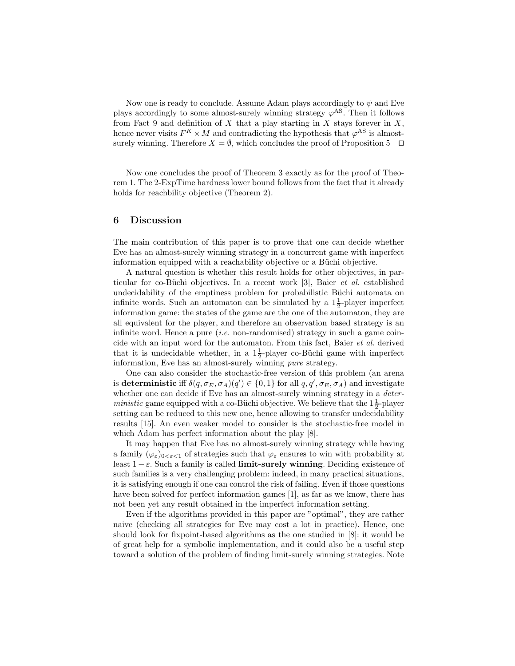Now one is ready to conclude. Assume Adam plays accordingly to  $\psi$  and Eve plays accordingly to some almost-surely winning strategy  $\varphi^{AS}$ . Then it follows from Fact 9 and definition of  $X$  that a play starting in  $X$  stays forever in  $X$ , hence never visits  $F^K \times M$  and contradicting the hypothesis that  $\varphi^{AS}$  is almostsurely winning. Therefore  $X = \emptyset$ , which concludes the proof of Proposition 5 □

Now one concludes the proof of Theorem 3 exactly as for the proof of Theorem 1. The 2-ExpTime hardness lower bound follows from the fact that it already holds for reachbility objective (Theorem 2).

#### 6 Discussion

The main contribution of this paper is to prove that one can decide whether Eve has an almost-surely winning strategy in a concurrent game with imperfect information equipped with a reachability objective or a Büchi objective.

A natural question is whether this result holds for other objectives, in particular for co-Büchi objectives. In a recent work  $[3]$ , Baier *et al.* established undecidability of the emptiness problem for probabilistic Büchi automata on infinite words. Such an automaton can be simulated by a  $1\frac{1}{2}$ -player imperfect information game: the states of the game are the one of the automaton, they are all equivalent for the player, and therefore an observation based strategy is an infinite word. Hence a pure  $(i.e.$  non-randomised) strategy in such a game coincide with an input word for the automaton. From this fact, Baier et al. derived that it is undecidable whether, in a  $1\frac{1}{2}$ -player co-Büchi game with imperfect information, Eve has an almost-surely winning pure strategy.

One can also consider the stochastic-free version of this problem (an arena is deterministic iff  $\delta(q, \sigma_E, \sigma_A)(q') \in \{0, 1\}$  for all  $q, q', \sigma_E, \sigma_A)$  and investigate whether one can decide if Eve has an almost-surely winning strategy in a *deter*ministic game equipped with a co-Büchi objective. We believe that the  $1\frac{1}{2}$ -player setting can be reduced to this new one, hence allowing to transfer undecidability results [15]. An even weaker model to consider is the stochastic-free model in which Adam has perfect information about the play [8].

It may happen that Eve has no almost-surely winning strategy while having a family  $(\varphi_{\varepsilon})_{0\leq \varepsilon\leq 1}$  of strategies such that  $\varphi_{\varepsilon}$  ensures to win with probability at least  $1 - \varepsilon$ . Such a family is called **limit-surely winning**. Deciding existence of such families is a very challenging problem: indeed, in many practical situations, it is satisfying enough if one can control the risk of failing. Even if those questions have been solved for perfect information games [1], as far as we know, there has not been yet any result obtained in the imperfect information setting.

Even if the algorithms provided in this paper are "optimal", they are rather naive (checking all strategies for Eve may cost a lot in practice). Hence, one should look for fixpoint-based algorithms as the one studied in [8]: it would be of great help for a symbolic implementation, and it could also be a useful step toward a solution of the problem of finding limit-surely winning strategies. Note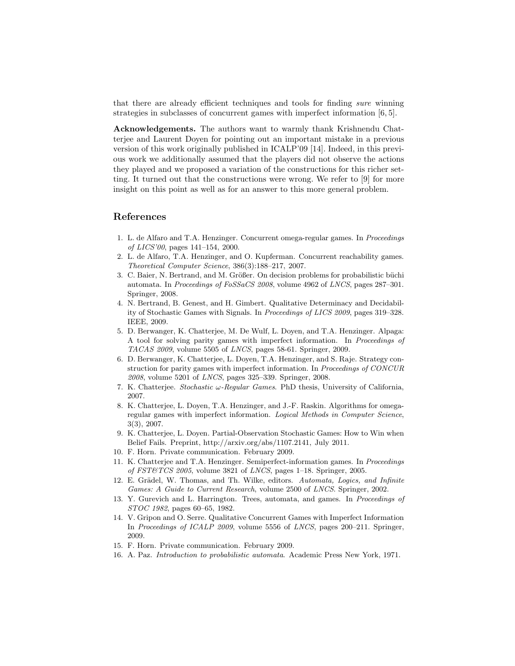that there are already efficient techniques and tools for finding sure winning strategies in subclasses of concurrent games with imperfect information [6, 5].

Acknowledgements. The authors want to warmly thank Krishnendu Chatterjee and Laurent Doyen for pointing out an important mistake in a previous version of this work originally published in ICALP'09 [14]. Indeed, in this previous work we additionally assumed that the players did not observe the actions they played and we proposed a variation of the constructions for this richer setting. It turned out that the constructions were wrong. We refer to [9] for more insight on this point as well as for an answer to this more general problem.

### References

- 1. L. de Alfaro and T.A. Henzinger. Concurrent omega-regular games. In *Proceedings of LICS'00*, pages 141–154, 2000.
- 2. L. de Alfaro, T.A. Henzinger, and O. Kupferman. Concurrent reachability games. *Theoretical Computer Science*, 386(3):188–217, 2007.
- 3. C. Baier, N. Bertrand, and M. Größer. On decision problems for probabilistic büchi automata. In *Proceedings of FoSSaCS 2008*, volume 4962 of *LNCS*, pages 287–301. Springer, 2008.
- 4. N. Bertrand, B. Genest, and H. Gimbert. Qualitative Determinacy and Decidability of Stochastic Games with Signals. In *Proceedings of LICS 2009*, pages 319–328. IEEE, 2009.
- 5. D. Berwanger, K. Chatterjee, M. De Wulf, L. Doyen, and T.A. Henzinger. Alpaga: A tool for solving parity games with imperfect information. In *Proceedings of TACAS 2009*, volume 5505 of *LNCS*, pages 58-61. Springer, 2009.
- 6. D. Berwanger, K. Chatterjee, L. Doyen, T.A. Henzinger, and S. Raje. Strategy construction for parity games with imperfect information. In *Proceedings of CONCUR 2008*, volume 5201 of *LNCS*, pages 325–339. Springer, 2008.
- 7. K. Chatterjee. *Stochastic* ω*-Regular Games*. PhD thesis, University of California, 2007.
- 8. K. Chatterjee, L. Doyen, T.A. Henzinger, and J.-F. Raskin. Algorithms for omegaregular games with imperfect information. *Logical Methods in Computer Science*, 3(3), 2007.
- 9. K. Chatterjee, L. Doyen. Partial-Observation Stochastic Games: How to Win when Belief Fails. Preprint, http://arxiv.org/abs/1107.2141, July 2011.
- 10. F. Horn. Private communication. February 2009.
- 11. K. Chatterjee and T.A. Henzinger. Semiperfect-information games. In *Proceedings of FST&TCS 2005*, volume 3821 of *LNCS*, pages 1–18. Springer, 2005.
- 12. E. Grädel, W. Thomas, and Th. Wilke, editors. Automata, Logics, and Infinite *Games: A Guide to Current Research*, volume 2500 of *LNCS*. Springer, 2002.
- 13. Y. Gurevich and L. Harrington. Trees, automata, and games. In *Proceedings of STOC 1982*, pages 60–65, 1982.
- 14. V. Gripon and O. Serre. Qualitative Concurrent Games with Imperfect Information In *Proceedings of ICALP 2009*, volume 5556 of *LNCS*, pages 200–211. Springer, 2009.
- 15. F. Horn. Private communication. February 2009.
- 16. A. Paz. *Introduction to probabilistic automata*. Academic Press New York, 1971.